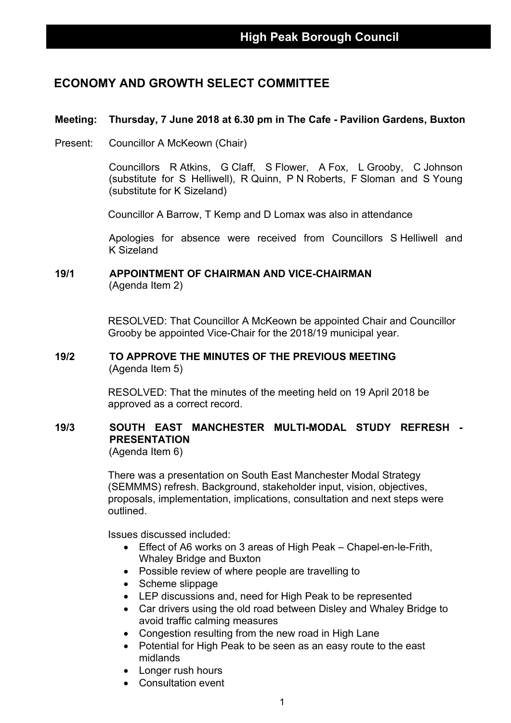## **ECONOMY AND GROWTH SELECT COMMITTEE**

## **Meeting: Thursday, 7 June 2018 at 6.30 pm in The Cafe - Pavilion Gardens, Buxton**

Present: Councillor A McKeown (Chair)

Councillors R Atkins, G Claff, S Flower, A Fox, L Grooby, C Johnson (substitute for S Helliwell), R Quinn, P N Roberts, F Sloman and S Young (substitute for K Sizeland)

Councillor A Barrow, T Kemp and D Lomax was also in attendance

Apologies for absence were received from Councillors S Helliwell and K Sizeland

### **19/1 APPOINTMENT OF CHAIRMAN AND VICE-CHAIRMAN** (Agenda Item 2)

RESOLVED: That Councillor A McKeown be appointed Chair and Councillor Grooby be appointed Vice-Chair for the 2018/19 municipal year.

### **19/2 TO APPROVE THE MINUTES OF THE PREVIOUS MEETING** (Agenda Item 5)

RESOLVED: That the minutes of the meeting held on 19 April 2018 be approved as a correct record.

## **19/3 SOUTH EAST MANCHESTER MULTI-MODAL STUDY REFRESH - PRESENTATION**

(Agenda Item 6)

There was a presentation on South East Manchester Modal Strategy (SEMMMS) refresh. Background, stakeholder input, vision, objectives, proposals, implementation, implications, consultation and next steps were outlined.

Issues discussed included:

- Effect of A6 works on 3 areas of High Peak Chapel-en-le-Frith, Whaley Bridge and Buxton
- Possible review of where people are travelling to
- Scheme slippage
- LEP discussions and, need for High Peak to be represented
- Car drivers using the old road between Disley and Whaley Bridge to avoid traffic calming measures
- Congestion resulting from the new road in High Lane
- Potential for High Peak to be seen as an easy route to the east midlands
- Longer rush hours
- Consultation event